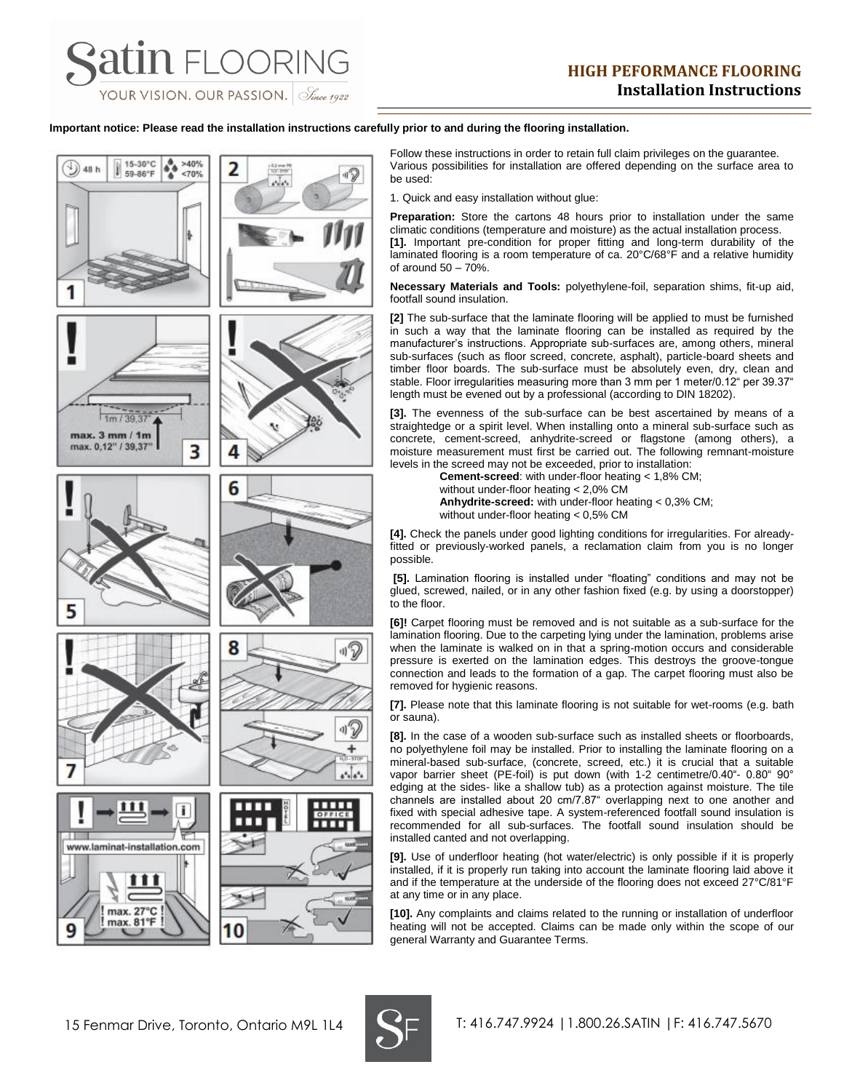**Important notice: Please read the installation instructions carefully prior to and during the flooring installation.** 



Follow these instructions in order to retain full claim privileges on the guarantee. Various possibilities for installation are offered depending on the surface area to be used:

1. Quick and easy installation without glue:

**Preparation:** Store the cartons 48 hours prior to installation under the same climatic conditions (temperature and moisture) as the actual installation process. **[1].** Important pre-condition for proper fitting and long-term durability of the laminated flooring is a room temperature of ca. 20°C/68°F and a relative humidity of around 50 – 70%.

**Necessary Materials and Tools:** polyethylene-foil, separation shims, fit-up aid, footfall sound insulation.

**[2]** The sub-surface that the laminate flooring will be applied to must be furnished in such a way that the laminate flooring can be installed as required by the manufacturer's instructions. Appropriate sub-surfaces are, among others, mineral sub-surfaces (such as floor screed, concrete, asphalt), particle-board sheets and timber floor boards. The sub-surface must be absolutely even, dry, clean and stable. Floor irregularities measuring more than 3 mm per 1 meter/0.12" per 39.37" length must be evened out by a professional (according to DIN 18202).

**[3].** The evenness of the sub-surface can be best ascertained by means of a straightedge or a spirit level. When installing onto a mineral sub-surface such as concrete, cement-screed, anhydrite-screed or flagstone (among others), a moisture measurement must first be carried out. The following remnant-moisture levels in the screed may not be exceeded, prior to installation:

**Cement-screed**: with under-floor heating < 1,8% CM; without under-floor heating < 2,0% CM **Anhydrite-screed:** with under-floor heating < 0,3% CM; without under-floor heating < 0,5% CM

**[4].** Check the panels under good lighting conditions for irregularities. For alreadyfitted or previously-worked panels, a reclamation claim from you is no longer possible.

**[5].** Lamination flooring is installed under "floating" conditions and may not be glued, screwed, nailed, or in any other fashion fixed (e.g. by using a doorstopper) to the floor.

**[6]!** Carpet flooring must be removed and is not suitable as a sub-surface for the lamination flooring. Due to the carpeting lying under the lamination, problems arise when the laminate is walked on in that a spring-motion occurs and considerable pressure is exerted on the lamination edges. This destroys the groove-tongue connection and leads to the formation of a gap. The carpet flooring must also be removed for hygienic reasons.

**[7].** Please note that this laminate flooring is not suitable for wet-rooms (e.g. bath or sauna).

**[8].** In the case of a wooden sub-surface such as installed sheets or floorboards, no polyethylene foil may be installed. Prior to installing the laminate flooring on a mineral-based sub-surface, (concrete, screed, etc.) it is crucial that a suitable vapor barrier sheet (PE-foil) is put down (with 1-2 centimetre/0.40"- 0.80" 90° edging at the sides- like a shallow tub) as a protection against moisture. The tile channels are installed about 20 cm/7.87" overlapping next to one another and fixed with special adhesive tape. A system-referenced footfall sound insulation is recommended for all sub-surfaces. The footfall sound insulation should be installed canted and not overlapping.

**[9].** Use of underfloor heating (hot water/electric) is only possible if it is properly installed, if it is properly run taking into account the laminate flooring laid above it and if the temperature at the underside of the flooring does not exceed 27°C/81°F at any time or in any place.

**[10].** Any complaints and claims related to the running or installation of underfloor heating will not be accepted. Claims can be made only within the scope of our general Warranty and Guarantee Terms.